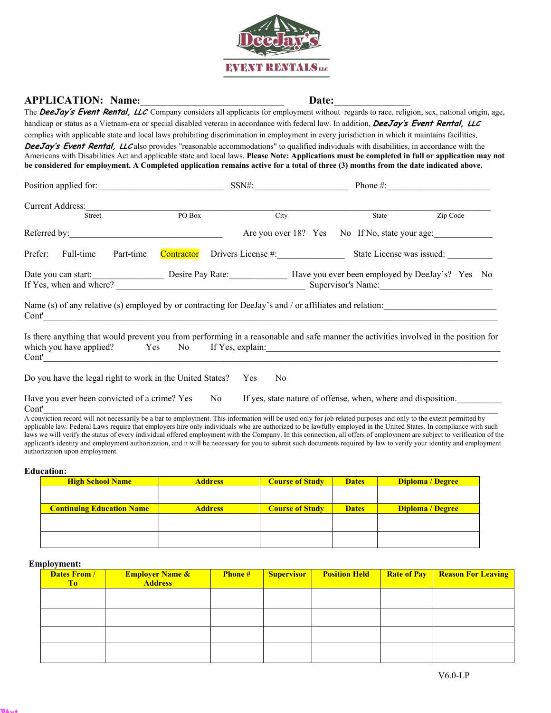

# **APPLICATION: Name:**\_\_\_\_\_\_\_\_\_\_\_\_\_\_\_\_\_\_\_\_\_\_\_\_\_\_\_\_\_\_\_\_ **Date:**\_\_\_\_\_\_\_\_\_\_\_\_\_\_\_\_\_

The **DeeJay's Event Rental, LLC** Company considers all applicants for employment without regards to race, religion, sex, national origin, age, handicap or status as a Vietnam-era or special disabled veteran in accordance with federal law. In addition, **DeeJay's Event Rental, LLC** complies with applicable state and local laws prohibiting discrimination in employment in every jurisdiction in which it maintains facilities. **DeeJay's Event Rental, LLC** also provides "reasonable accommodations" to qualified individuals with disabilities, in accordance with the Americans with Disabilities Act and applicable state and local laws. **Please Note: Applications must be completed in full or application may not be considered for employment. A Completed application remains active for a total of three (3) months from the date indicated above.** 

|                         | Position applied for: |            | $SSN\#$ :                                                                                              |  |                           | Phone $\#$ :                                    |  |
|-------------------------|-----------------------|------------|--------------------------------------------------------------------------------------------------------|--|---------------------------|-------------------------------------------------|--|
| <b>Current Address:</b> |                       |            |                                                                                                        |  |                           |                                                 |  |
| Street                  |                       | PO Box     | City                                                                                                   |  | <b>State</b>              | Zip Code                                        |  |
| Referred by:            |                       |            |                                                                                                        |  |                           | Are you over 18? Yes No If No, state your age:  |  |
| Full-time<br>Prefer:    | Part-time             | Contractor | Drivers License #:                                                                                     |  | State License was issued: |                                                 |  |
| Date you can start:     |                       |            | Desire Pay Rate:                                                                                       |  |                           | Have you ever been employed by DeeJay's? Yes No |  |
| If Yes, when and where? |                       |            |                                                                                                        |  |                           | Supervisor's Name:                              |  |
| Cont'                   |                       |            | Name (s) of any relative (s) employed by or contracting for DeeJay's and / or affiliates and relation: |  |                           |                                                 |  |

Is there anything that would prevent you from performing in a reasonable and safe manner the activities involved in the position for which you have applied? Yes No If Yes, explain:  $Cont'$ 

Do you have the legal right to work in the United States? Yes No

Have you ever been convicted of a crime? Yes No If yes, state nature of offense, when, where and disposition.  $Cont'$ 

A conviction record will not necessarily be a bar to employment. This information will be used only for job related purposes and only to the extent permitted by applicable law. Federal Laws require that employers hire only individuals who are authorized to be lawfully employed in the United States. In compliance with such laws we will verify the status of every individual offered employment with the Company. In this connection, all offers of employment are subject to verification of the applicant's identity and employment authorization, and it will be necessary for you to submit such documents required by law to verify your identity and employment authorization upon employment.

### **Education:**

| <b>High School Name</b>          | <b>Address</b> | <b>Course of Study</b> | <b>Dates</b> | Diploma / Degree |
|----------------------------------|----------------|------------------------|--------------|------------------|
|                                  |                |                        |              |                  |
|                                  |                |                        |              |                  |
| <b>Continuing Education Name</b> | <b>Address</b> | <b>Course of Study</b> | <b>Dates</b> | Diploma / Degree |
|                                  |                |                        |              |                  |
|                                  |                |                        |              |                  |
|                                  |                |                        |              |                  |
|                                  |                |                        |              |                  |

### **Employment:**

**Text Text**

| <b>Dates From /</b><br>To | <b>Employer Name &amp;</b><br><b>Address</b> | <b>Phone#</b> | <b>Supervisor</b> | <b>Position Held</b> | <b>Rate of Pay</b> | <b>Reason For Leaving</b> |
|---------------------------|----------------------------------------------|---------------|-------------------|----------------------|--------------------|---------------------------|
|                           |                                              |               |                   |                      |                    |                           |
|                           |                                              |               |                   |                      |                    |                           |
|                           |                                              |               |                   |                      |                    |                           |
|                           |                                              |               |                   |                      |                    |                           |